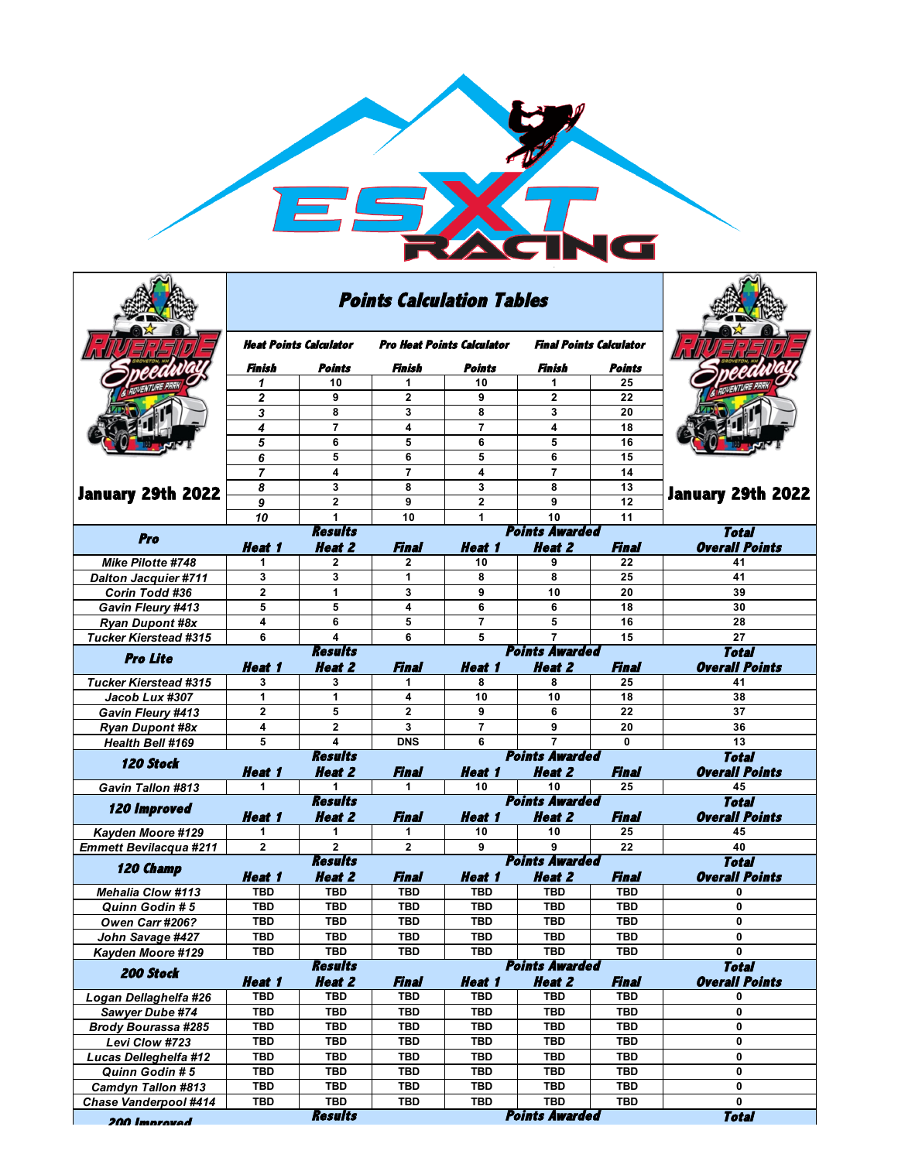

|                                                    |                                         | <b>Points Calculation Tables</b> |                                   |                                                                  |                                        |                                       |                                       |
|----------------------------------------------------|-----------------------------------------|----------------------------------|-----------------------------------|------------------------------------------------------------------|----------------------------------------|---------------------------------------|---------------------------------------|
|                                                    | Heat Points Calculator                  |                                  | <b>Pro Heat Points Calculator</b> |                                                                  | <b>Final Points Calculator</b>         |                                       |                                       |
|                                                    | Finish                                  | Points                           | Finish                            | Points                                                           | Finish                                 | Points                                |                                       |
|                                                    | 1                                       | 10                               | 1                                 | 10                                                               | 1                                      | 25                                    |                                       |
|                                                    | 2                                       | 9                                | 2                                 | 9                                                                | 2                                      | 22                                    |                                       |
|                                                    | 3                                       | 8                                | 3                                 | 8                                                                | 3                                      | 20                                    |                                       |
|                                                    | 4                                       | $\overline{7}$                   | 4                                 | $\overline{7}$                                                   | 4                                      | 18                                    |                                       |
|                                                    | 5                                       | 6<br>5                           | 5<br>6                            | 6<br>5                                                           | 5                                      | 16<br>15                              |                                       |
|                                                    | 6<br>$\overline{7}$                     | 4                                | $\overline{7}$                    | 4                                                                | 6<br>$\overline{7}$                    | 14                                    | January 29th 2022                     |
|                                                    | 8                                       | 3                                | 8                                 | 3                                                                | 8                                      | 13                                    |                                       |
| January 29th 2022                                  | 9                                       | $\overline{2}$                   | 9                                 | $\mathbf{2}$                                                     | 9                                      | 12                                    |                                       |
|                                                    | 10                                      | 1                                | 10                                | 1                                                                | 10                                     | $\overline{11}$                       |                                       |
|                                                    | <b>Results</b><br><b>Points Awarded</b> |                                  |                                   |                                                                  |                                        |                                       | <b>Total</b>                          |
| Pro                                                | <b>Heat 1</b>                           | <b>Heat 2</b>                    | Final                             | <b>Heat 1</b>                                                    | <b>Heat 2</b>                          | <b>Final</b>                          | <b>Overall Points</b>                 |
| Mike Pilotte #748                                  | 1                                       | 2                                | $\mathbf{2}$                      | 10                                                               | 9                                      | 22                                    | 41                                    |
| <b>Dalton Jacquier #711</b>                        | 3                                       | 3                                | $\mathbf{1}$                      | 8                                                                | 8                                      | 25                                    | 41                                    |
| Corin Todd #36                                     | $\mathbf 2$                             | 1                                | 3                                 | 9                                                                | 10                                     | 20                                    | 39                                    |
| Gavin Fleury #413                                  | 5                                       | 5                                | 4                                 | 6                                                                | 6                                      | 18                                    | 30                                    |
| <b>Ryan Dupont #8x</b>                             | 4                                       | 6                                | 5                                 | $\overline{7}$                                                   | 5                                      | 16                                    | 28                                    |
| <b>Tucker Kierstead #315</b>                       | 6                                       | 4                                | 6                                 | 5                                                                | 7<br><b>Points Awarded</b>             | 15                                    | 27                                    |
| <b>Pro Lite</b>                                    | <b>Heat 1</b>                           | <b>Results</b><br><b>Heat 2</b>  | Final                             | <i><b>Heat 1</b></i>                                             | <b>Total</b><br><b>Overall Points</b>  |                                       |                                       |
| <b>Tucker Kierstead #315</b>                       | 3                                       | 3                                | 1                                 | 8                                                                | 8                                      | 25                                    | 41                                    |
| Jacob Lux #307                                     | 1                                       | 1                                | 4                                 | 10                                                               | 10                                     | 18                                    | 38                                    |
| Gavin Fleury #413                                  | $\mathbf{2}$                            | 5                                | $\overline{2}$                    | 9                                                                | 6                                      | 22                                    | 37                                    |
| <b>Ryan Dupont #8x</b>                             | 4                                       | 2                                | 3                                 | $\overline{7}$                                                   | 9                                      | 20                                    | 36                                    |
| Health Bell #169                                   | 5                                       | 4                                | <b>DNS</b>                        | 6                                                                | $\overline{7}$                         | 0                                     | 13                                    |
| <b>120 Stock</b>                                   | <b>Heat 1</b>                           | <b>Results</b><br><b>Heat 2</b>  | Final                             | <i><b>Heat 1</b></i>                                             | <b>Points Awarded</b><br><b>Heat 2</b> | Final                                 | <b>Total</b><br><b>Overall Points</b> |
| <b>Gavin Tallon #813</b>                           | 1                                       | 1                                | 1                                 | 10                                                               | 10                                     | 25                                    | 45                                    |
| <b>120 Improved</b>                                | Heat 1                                  | <b>Results</b><br>Heat 2         | Final                             | <b>Points Awarded</b><br><b>Heat 2</b><br><b>Heat 1</b><br>Final |                                        | <b>Total</b><br><b>Overall Points</b> |                                       |
| Kayden Moore #129                                  | 1                                       | 1.                               | 1                                 | 10                                                               | 10                                     | 25                                    | 45                                    |
| <b>Emmett Bevilacqua #211</b>                      | $\mathbf 2$                             | $\overline{2}$                   | $\mathbf{2}$                      | 9                                                                | 9                                      | 22                                    | 40                                    |
| 120 Champ                                          |                                         | <b>Results</b>                   |                                   |                                                                  | <b>Points Awarded</b>                  |                                       | <b>Total</b>                          |
|                                                    | Heat 1                                  | <b>Heat 2</b>                    | Final                             | Heat 1                                                           | <b>Heat 2</b>                          | Final                                 | <b>Overall Points</b>                 |
| <b>Mehalia Clow #113</b>                           | <b>TBD</b>                              | <b>TBD</b>                       | <b>TBD</b>                        | <b>TBD</b>                                                       | <b>TBD</b>                             | <b>TBD</b>                            | 0                                     |
| Quinn Godin #5                                     | TBD                                     | TBD                              | TBD                               | TBD                                                              | <b>TBD</b>                             | TBD                                   | 0                                     |
| Owen Carr #206?                                    | <b>TBD</b>                              | <b>TBD</b>                       | <b>TBD</b>                        | TBD                                                              | <b>TBD</b>                             | <b>TBD</b>                            | 0                                     |
| John Savage #427                                   | TBD                                     | TBD                              | TBD                               | TBD                                                              | TBD                                    | TBD                                   | 0                                     |
| Kayden Moore #129                                  | TBD                                     | TBD                              | TBD                               | TBD                                                              | TBD                                    | TBD                                   | 0                                     |
| 200 Stock                                          | Heat 1                                  | <b>Results</b><br><b>Heat 2</b>  | Final                             | <b>Heat 1</b>                                                    | <b>Points Awarded</b><br><b>Heat 2</b> | Final                                 | <b>Total</b><br><b>Overall Points</b> |
| Logan Dellaghelfa #26                              | TBD                                     | TBD                              | TBD                               | TBD                                                              | TBD                                    | TBD                                   | 0                                     |
| Sawyer Dube #74                                    | <b>TBD</b>                              | TBD                              | <b>TBD</b>                        | <b>TBD</b>                                                       | <b>TBD</b>                             | <b>TBD</b>                            | 0                                     |
| <b>Brody Bourassa #285</b>                         | TBD                                     | TBD                              | TBD                               | TBD                                                              | TBD                                    | TBD                                   | 0                                     |
| Levi Clow #723                                     | TBD                                     | TBD                              | TBD                               | <b>TBD</b>                                                       | <b>TBD</b>                             | <b>TBD</b>                            | 0                                     |
| Lucas Delleghelfa #12                              | TBD                                     | TBD                              | <b>TBD</b>                        | <b>TBD</b>                                                       | TBD                                    | <b>TBD</b>                            | 0                                     |
| Quinn Godin #5                                     | TBD                                     | TBD                              | TBD                               | TBD                                                              | TBD                                    | TBD                                   | 0                                     |
| <b>Camdyn Tallon #813</b><br>Chase Vanderpool #414 | TBD<br>TBD                              | TBD<br>TBD                       | TBD<br>TBD                        | TBD<br><b>TBD</b>                                                | TBD<br>TBD                             | TBD<br>TBD                            | 0<br>0                                |
| 200 Improved                                       |                                         | <b>Results</b>                   |                                   |                                                                  | <b>Points Awarded</b>                  |                                       | <b>Total</b>                          |